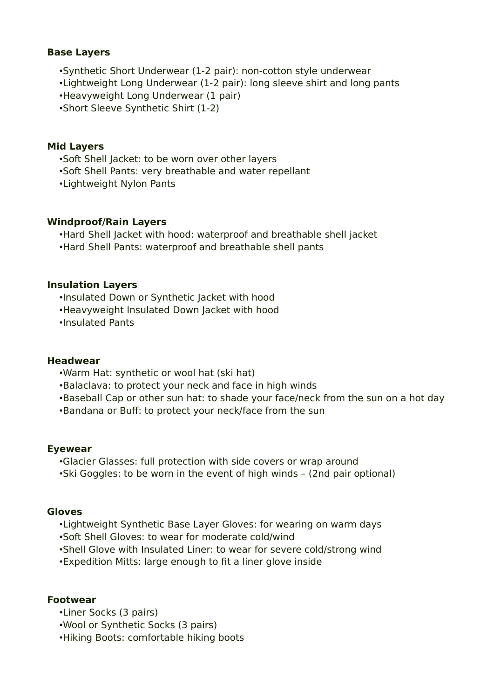## **Base Layers**

•Synthetic Short Underwear (1-2 pair): non-cotton style underwear •Lightweight Long Underwear (1-2 pair): long sleeve shirt and long pants

•Heavyweight Long Underwear (1 pair)

•Short Sleeve Synthetic Shirt (1-2)

### **Mid Layers**

•Soft Shell Jacket: to be worn over other layers

•Soft Shell Pants: very breathable and water repellant

•Lightweight Nylon Pants

#### **Windproof/Rain Layers**

•Hard Shell Jacket with hood: waterproof and breathable shell jacket •Hard Shell Pants: waterproof and breathable shell pants

#### **Insulation Layers**

•Insulated Down or Synthetic Jacket with hood •Heavyweight Insulated Down Jacket with hood •Insulated Pants

### **Headwear**

•Warm Hat: synthetic or wool hat (ski hat)

•Balaclava: to protect your neck and face in high winds

- •Baseball Cap or other sun hat: to shade your face/neck from the sun on a hot day
- •Bandana or Buff: to protect your neck/face from the sun

#### **Eyewear**

•Glacier Glasses: full protection with side covers or wrap around •Ski Goggles: to be worn in the event of high winds – (2nd pair optional)

### **Gloves**

•Lightweight Synthetic Base Layer Gloves: for wearing on warm days

•Soft Shell Gloves: to wear for moderate cold/wind

•Shell Glove with Insulated Liner: to wear for severe cold/strong wind

•Expedition Mitts: large enough to fit a liner glove inside

## **Footwear**

•Liner Socks (3 pairs)

•Wool or Synthetic Socks (3 pairs)

•Hiking Boots: comfortable hiking boots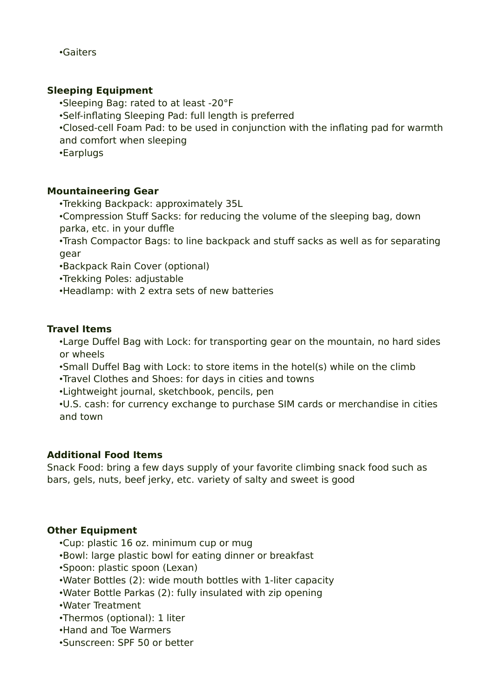•Gaiters

## **Sleeping Equipment**

•Sleeping Bag: rated to at least -20°F

•Self-inflating Sleeping Pad: full length is preferred

•Closed-cell Foam Pad: to be used in conjunction with the inflating pad for warmth and comfort when sleeping

•Earplugs

## **Mountaineering Gear**

•Trekking Backpack: approximately 35L

•Compression Stuff Sacks: for reducing the volume of the sleeping bag, down parka, etc. in your duffle

•Trash Compactor Bags: to line backpack and stuff sacks as well as for separating gear

•Backpack Rain Cover (optional)

•Trekking Poles: adjustable

•Headlamp: with 2 extra sets of new batteries

## **Travel Items**

•Large Duffel Bag with Lock: for transporting gear on the mountain, no hard sides or wheels

•Small Duffel Bag with Lock: to store items in the hotel(s) while on the climb

•Travel Clothes and Shoes: for days in cities and towns

•Lightweight journal, sketchbook, pencils, pen

•U.S. cash: for currency exchange to purchase SIM cards or merchandise in cities and town

## **Additional Food Items**

Snack Food: bring a few days supply of your favorite climbing snack food such as bars, gels, nuts, beef jerky, etc. variety of salty and sweet is good

# **Other Equipment**

•Cup: plastic 16 oz. minimum cup or mug

•Bowl: large plastic bowl for eating dinner or breakfast

•Spoon: plastic spoon (Lexan)

•Water Bottles (2): wide mouth bottles with 1-liter capacity

•Water Bottle Parkas (2): fully insulated with zip opening

•Water Treatment

•Thermos (optional): 1 liter

•Hand and Toe Warmers

•Sunscreen: SPF 50 or better